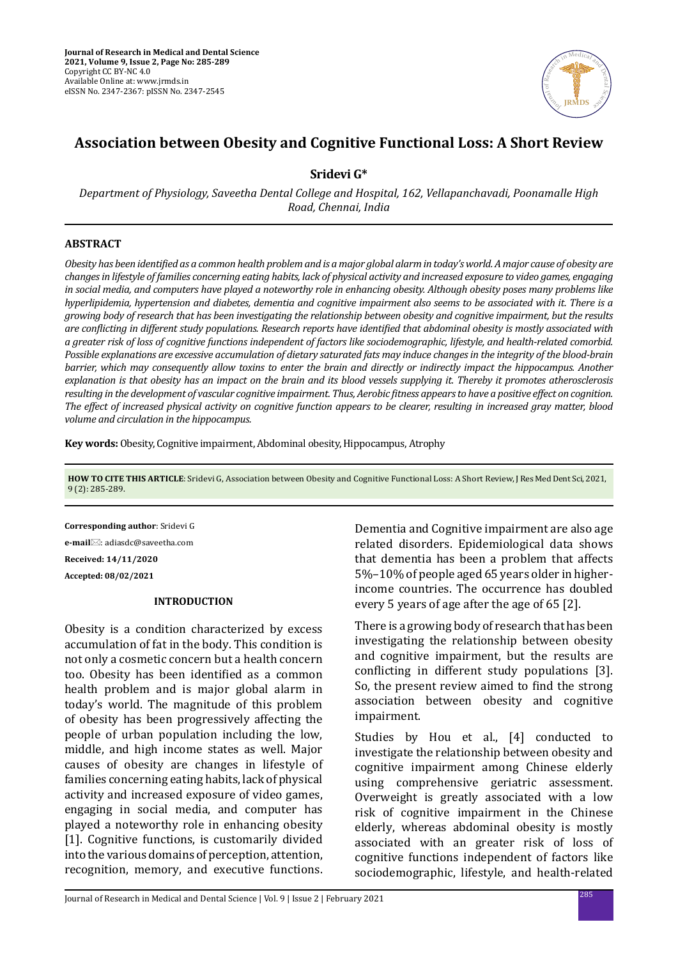

# **Association between Obesity and Cognitive Functional Loss: A Short Review**

**Sridevi G\***

*Department of Physiology, Saveetha Dental College and Hospital, 162, Vellapanchavadi, Poonamalle High Road, Chennai, India*

## **ABSTRACT**

*Obesity has been identified as a common health problem and is a major global alarm in today's world. A major cause of obesity are changes in lifestyle of families concerning eating habits, lack of physical activity and increased exposure to video games, engaging in social media, and computers have played a noteworthy role in enhancing obesity. Although obesity poses many problems like hyperlipidemia, hypertension and diabetes, dementia and cognitive impairment also seems to be associated with it. There is a growing body of research that has been investigating the relationship between obesity and cognitive impairment, but the results are conflicting in different study populations. Research reports have identified that abdominal obesity is mostly associated with a greater risk of loss of cognitive functions independent of factors like sociodemographic, lifestyle, and health-related comorbid. Possible explanations are excessive accumulation of dietary saturated fats may induce changes in the integrity of the blood-brain barrier, which may consequently allow toxins to enter the brain and directly or indirectly impact the hippocampus. Another explanation is that obesity has an impact on the brain and its blood vessels supplying it. Thereby it promotes atherosclerosis resulting in the development of vascular cognitive impairment. Thus, Aerobic fitness appears to have a positive effect on cognition. The effect of increased physical activity on cognitive function appears to be clearer, resulting in increased gray matter, blood volume and circulation in the hippocampus.*

**Key words:** Obesity, Cognitive impairment, Abdominal obesity, Hippocampus, Atrophy

**HOW TO CITE THIS ARTICLE**: Sridevi G, Association between Obesity and Cognitive Functional Loss: A Short Review, J Res Med Dent Sci, 2021, 9 (2): 285-289.

**Corresponding author**: Sridevi G **e-mail**⊠: adiasdc@saveetha.com **Received: 14/11/2020 Accepted: 08/02/2021**

## **INTRODUCTION**

Obesity is a condition characterized by excess accumulation of fat in the body. This condition is not only a cosmetic concern but a health concern too. Obesity has been identified as a common health problem and is major global alarm in today's world. The magnitude of this problem of obesity has been progressively affecting the people of urban population including the low, middle, and high income states as well. Major causes of obesity are changes in lifestyle of families concerning eating habits, lack of physical activity and increased exposure of video games, engaging in social media, and computer has played a noteworthy role in enhancing obesity [1]. Cognitive functions, is customarily divided into the various domains of perception, attention, recognition, memory, and executive functions. Dementia and Cognitive impairment are also age related disorders. Epidemiological data shows that dementia has been a problem that affects 5%–10% of people aged 65 years older in higherincome countries. The occurrence has doubled every 5 years of age after the age of 65 [2].

There is a growing body of research that has been investigating the relationship between obesity and cognitive impairment, but the results are conflicting in different study populations [3]. So, the present review aimed to find the strong association between obesity and cognitive impairment.

Studies by Hou et al., [4] conducted to investigate the relationship between obesity and cognitive impairment among Chinese elderly using comprehensive geriatric assessment. Overweight is greatly associated with a low risk of cognitive impairment in the Chinese elderly, whereas abdominal obesity is mostly associated with an greater risk of loss of cognitive functions independent of factors like sociodemographic, lifestyle, and health-related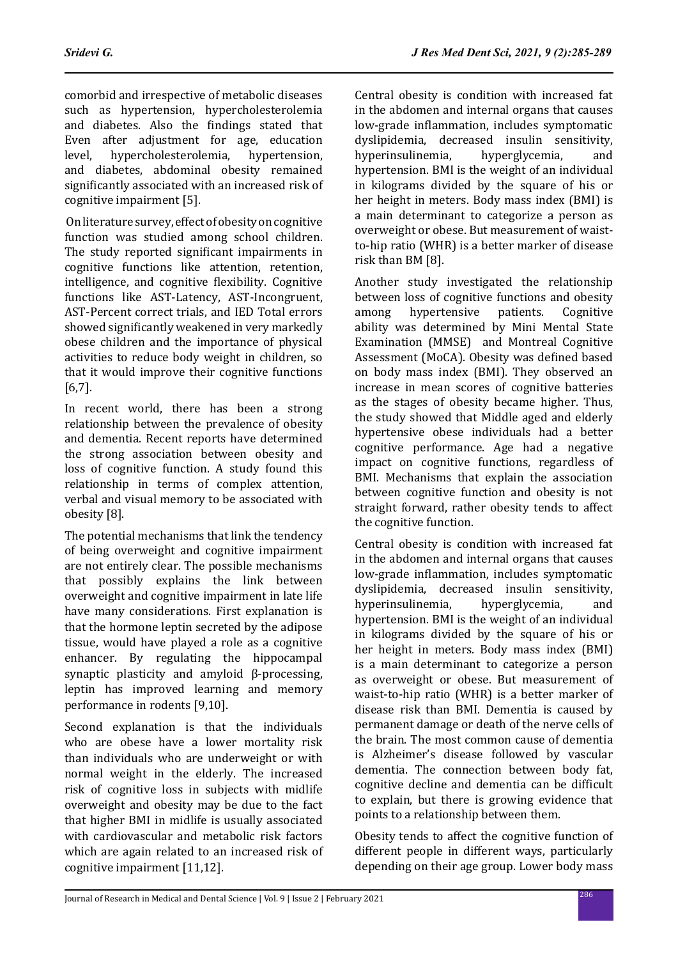comorbid and irrespective of metabolic diseases such as hypertension, hypercholesterolemia and diabetes. Also the findings stated that Even after adjustment for age, education<br>level, hypercholesterolemia, hypertension, hypercholesterolemia, and diabetes, abdominal obesity remained significantly associated with an increased risk of cognitive impairment [5].

 On literature survey, effect of obesity on cognitive function was studied among school children. The study reported significant impairments in cognitive functions like attention, retention, intelligence, and cognitive flexibility. Cognitive functions like AST-Latency, AST-Incongruent, AST-Percent correct trials, and IED Total errors showed significantly weakened in very markedly obese children and the importance of physical activities to reduce body weight in children, so that it would improve their cognitive functions [6,7].

In recent world, there has been a strong relationship between the prevalence of obesity and dementia. Recent reports have determined the strong association between obesity and loss of cognitive function. A study found this relationship in terms of complex attention, verbal and visual memory to be associated with obesity [8].

The potential mechanisms that link the tendency of being overweight and cognitive impairment are not entirely clear. The possible mechanisms that possibly explains the link between overweight and cognitive impairment in late life have many considerations. First explanation is that the hormone leptin secreted by the adipose tissue, would have played a role as a cognitive enhancer. By regulating the hippocampal synaptic plasticity and amyloid β-processing, leptin has improved learning and memory performance in rodents [9,10].

Second explanation is that the individuals who are obese have a lower mortality risk than individuals who are underweight or with normal weight in the elderly. The increased risk of cognitive loss in subjects with midlife overweight and obesity may be due to the fact that higher BMI in midlife is usually associated with cardiovascular and metabolic risk factors which are again related to an increased risk of cognitive impairment [11,12].

Central obesity is condition with increased fat in the abdomen and internal organs that causes low-grade inflammation, includes symptomatic dyslipidemia, decreased insulin sensitivity,<br>hyperinsulinemia, hyperglycemia, and hyperinsulinemia, hypertension. BMI is the weight of an individual in kilograms divided by the square of his or her height in meters. Body mass index (BMI) is a main determinant to categorize a person as overweight or obese. But measurement of waistto-hip ratio (WHR) is a better marker of disease risk than BM [8].

Another study investigated the relationship between loss of cognitive functions and obesity<br>among hypertensive patients. Cognitive hypertensive ability was determined by Mini Mental State Examination (MMSE) and Montreal Cognitive Assessment (MoCA). Obesity was defined based on body mass index (BMI). They observed an increase in mean scores of cognitive batteries as the stages of obesity became higher. Thus, the study showed that Middle aged and elderly hypertensive obese individuals had a better cognitive performance. Age had a negative impact on cognitive functions, regardless of BMI. Mechanisms that explain the association between cognitive function and obesity is not straight forward, rather obesity tends to affect the cognitive function.

Central obesity is condition with increased fat in the abdomen and internal organs that causes low-grade inflammation, includes symptomatic dyslipidemia, decreased insulin sensitivity,<br>hyperinsulinemia, hyperglycemia, and hyperinsulinemia, hypertension. BMI is the weight of an individual in kilograms divided by the square of his or her height in meters. Body mass index (BMI) is a main determinant to categorize a person as overweight or obese. But measurement of waist-to-hip ratio (WHR) is a better marker of disease risk than BMI. Dementia is caused by permanent damage or death of the nerve cells of the brain. The most common cause of dementia is Alzheimer's disease followed by vascular dementia. The connection between body fat, cognitive decline and dementia can be difficult to explain, but there is growing evidence that points to a relationship between them.

Obesity tends to affect the cognitive function of different people in different ways, particularly depending on their age group. Lower body mass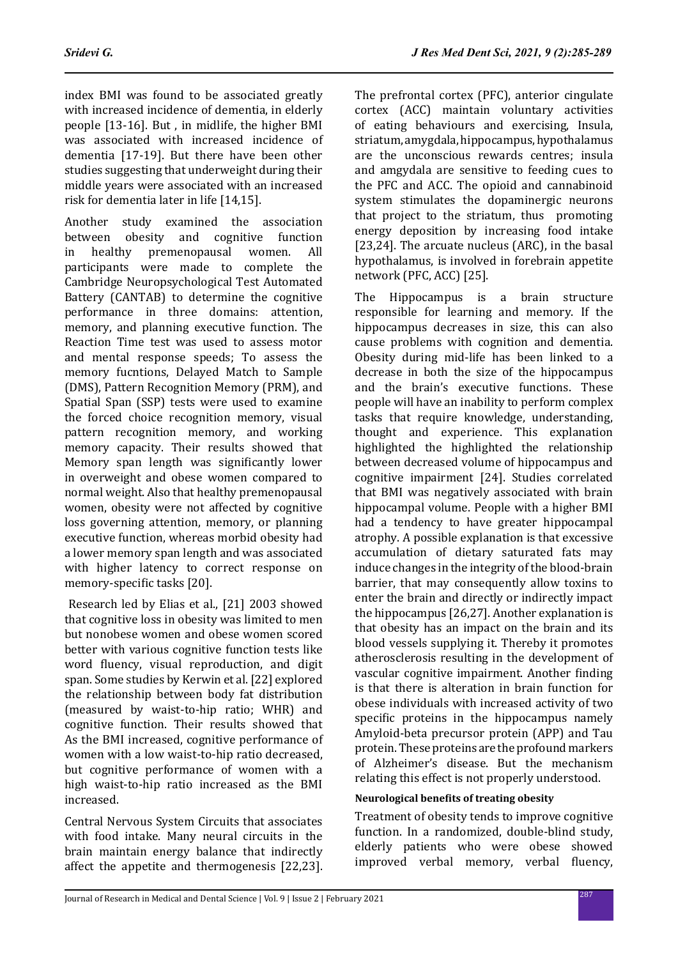index BMI was found to be associated greatly with increased incidence of dementia, in elderly people [13-16]. But , in midlife, the higher BMI was associated with increased incidence of dementia [17-19]. But there have been other studies suggesting that underweight during their middle years were associated with an increased risk for dementia later in life [14,15].

Another study examined the association<br>between obesity and cognitive function obesity and cognitive in healthy premenopausal women. All participants were made to complete the Cambridge Neuropsychological Test Automated Battery (CANTAB) to determine the cognitive performance in three domains: attention, memory, and planning executive function. The Reaction Time test was used to assess motor and mental response speeds; To assess the memory fucntions, Delayed Match to Sample (DMS), Pattern Recognition Memory (PRM), and Spatial Span (SSP) tests were used to examine the forced choice recognition memory, visual pattern recognition memory, and working memory capacity. Their results showed that Memory span length was significantly lower in overweight and obese women compared to normal weight. Also that healthy premenopausal women, obesity were not affected by cognitive loss governing attention, memory, or planning executive function, whereas morbid obesity had a lower memory span length and was associated with higher latency to correct response on memory-specific tasks [20].

 Research led by Elias et al., [21] 2003 showed that cognitive loss in obesity was limited to men but nonobese women and obese women scored better with various cognitive function tests like word fluency, visual reproduction, and digit span. Some studies by Kerwin et al. [22] explored the relationship between body fat distribution (measured by waist-to-hip ratio; WHR) and cognitive function. Their results showed that As the BMI increased, cognitive performance of women with a low waist-to-hip ratio decreased, but cognitive performance of women with a high waist-to-hip ratio increased as the BMI increased.

Central Nervous System Circuits that associates with food intake. Many neural circuits in the brain maintain energy balance that indirectly affect the appetite and thermogenesis [22,23]. The prefrontal cortex (PFC), anterior cingulate cortex (ACC) maintain voluntary activities of eating behaviours and exercising, Insula, striatum, amygdala, hippocampus, hypothalamus are the unconscious rewards centres; insula and amgydala are sensitive to feeding cues to the PFC and ACC. The opioid and cannabinoid system stimulates the dopaminergic neurons that project to the striatum, thus promoting energy deposition by increasing food intake [23,24]. The arcuate nucleus (ARC), in the basal hypothalamus, is involved in forebrain appetite network (PFC, ACC) [25].

The Hippocampus is a brain structure responsible for learning and memory. If the hippocampus decreases in size, this can also cause problems with cognition and dementia. Obesity during mid-life has been linked to a decrease in both the size of the hippocampus and the brain's executive functions. These people will have an inability to perform complex tasks that require knowledge, understanding, thought and experience. This explanation highlighted the highlighted the relationship between decreased volume of hippocampus and cognitive impairment [24]. Studies correlated that BMI was negatively associated with brain hippocampal volume. People with a higher BMI had a tendency to have greater hippocampal atrophy. A possible explanation is that excessive accumulation of dietary saturated fats may induce changes in the integrity of the blood-brain barrier, that may consequently allow toxins to enter the brain and directly or indirectly impact the hippocampus [26,27]. Another explanation is that obesity has an impact on the brain and its blood vessels supplying it. Thereby it promotes atherosclerosis resulting in the development of vascular cognitive impairment. Another finding is that there is alteration in brain function for obese individuals with increased activity of two specific proteins in the hippocampus namely Amyloid-beta precursor protein (APP) and Tau protein. These proteins are the profound markers of Alzheimer's disease. But the mechanism relating this effect is not properly understood.

# **Neurological benefits of treating obesity**

Treatment of obesity tends to improve cognitive function. In a randomized, double-blind study, elderly patients who were obese showed improved verbal memory, verbal fluency,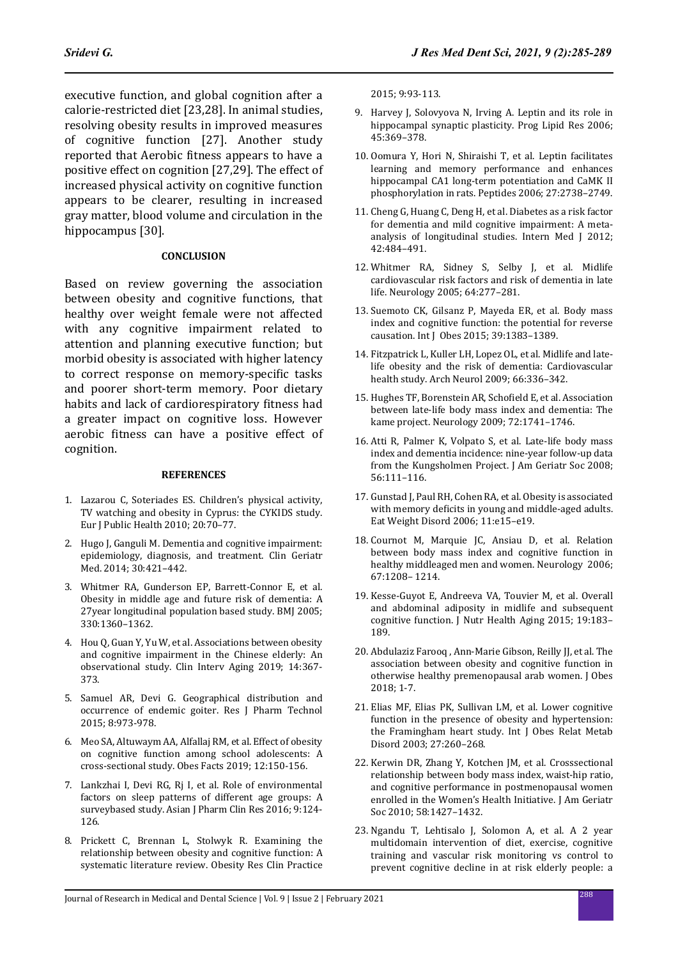executive function, and global cognition after a calorie-restricted diet [23,28]. In animal studies, resolving obesity results in improved measures of cognitive function [27]. Another study reported that Aerobic fitness appears to have a positive effect on cognition [27,29]. The effect of increased physical activity on cognitive function appears to be clearer, resulting in increased gray matter, blood volume and circulation in the hippocampus [30].

### **CONCLUSION**

Based on review governing the association between obesity and cognitive functions, that healthy over weight female were not affected with any cognitive impairment related to attention and planning executive function; but morbid obesity is associated with higher latency to correct response on memory-specific tasks and poorer short-term memory. Poor dietary habits and lack of cardiorespiratory fitness had a greater impact on cognitive loss. However aerobic fitness can have a positive effect of cognition.

#### **REFERENCES**

- 1. Lazarou C, Soteriades ES. Children's physical activity, TV watching and obesity in Cyprus: the CYKIDS study. Eur J Public Health 2010; 20:70–77.
- 2. Hugo J, Ganguli M. Dementia and cognitive impairment: epidemiology, diagnosis, and treatment. Clin Geriatr Med. 2014; 30:421–442.
- 3. Whitmer RA, Gunderson EP, Barrett-Connor E, et al. Obesity in middle age and future risk of dementia: A 27year longitudinal population based study. BMJ 2005; 330:1360–1362.
- 4. Hou Q, Guan Y, Yu W, et al. Associations between obesity and cognitive impairment in the Chinese elderly: An observational study. Clin Interv Aging 2019; 14:367- 373.
- 5. Samuel AR, Devi G. Geographical distribution and occurrence of endemic goiter. Res J Pharm Technol 2015; 8:973-978.
- 6. Meo SA, Altuwaym AA, Alfallaj RM, et al. Effect of obesity on cognitive function among school adolescents: A cross-sectional study. Obes Facts 2019; 12:150-156.
- 7. Lankzhai I, Devi RG, Rj I, et al. Role of environmental factors on sleep patterns of different age groups: A surveybased study. Asian J Pharm Clin Res 2016; 9:124- 126.
- 8. Prickett C, Brennan L, Stolwyk R. Examining the relationship between obesity and cognitive function: A systematic literature review. Obesity Res Clin Practice

2015; 9:93-113.

- 9. Harvey J, Solovyova N, Irving A. Leptin and its role in hippocampal synaptic plasticity. Prog Lipid Res 2006; 45:369–378.
- 10. Oomura Y, Hori N, Shiraishi T, et al. Leptin facilitates learning and memory performance and enhances hippocampal CA1 long-term potentiation and CaMK II phosphorylation in rats. Peptides 2006; 27:2738–2749.
- 11. Cheng G, Huang C, Deng H, et al. Diabetes as a risk factor for dementia and mild cognitive impairment: A metaanalysis of longitudinal studies. Intern Med J 2012; 42:484–491.
- 12. Whitmer RA, Sidney S, Selby J, et al. Midlife cardiovascular risk factors and risk of dementia in late life. Neurology 2005; 64:277–281.
- 13. Suemoto CK, Gilsanz P, Mayeda ER, et al. Body mass index and cognitive function: the potential for reverse causation. Int J Obes 2015; 39:1383–1389.
- 14. Fitzpatrick L, Kuller LH, Lopez OL, et al. Midlife and latelife obesity and the risk of dementia: Cardiovascular health study. Arch Neurol 2009; 66:336–342.
- 15. Hughes TF, Borenstein AR, Schofield E, et al. Association between late-life body mass index and dementia: The kame project. Neurology 2009; 72:1741–1746.
- 16. Atti R, Palmer K, Volpato S, et al. Late-life body mass index and dementia incidence: nine-year follow-up data from the Kungsholmen Project. J Am Geriatr Soc 2008; 56:111–116.
- 17. Gunstad J, Paul RH, Cohen RA, et al. Obesity is associated with memory deficits in young and middle-aged adults. Eat Weight Disord 2006; 11:e15–e19.
- 18. Cournot M, Marquie JC, Ansiau D, et al. Relation between body mass index and cognitive function in healthy middleaged men and women. Neurology 2006; 67:1208– 1214.
- 19. Kesse-Guyot E, Andreeva VA, Touvier M, et al. Overall and abdominal adiposity in midlife and subsequent cognitive function. J Nutr Health Aging 2015; 19:183– 189.
- 20. Abdulaziz Farooq , Ann-Marie Gibson, Reilly JJ, et al. The association between obesity and cognitive function in otherwise healthy premenopausal arab women. J Obes 2018; 1-7.
- 21. Elias MF, Elias PK, Sullivan LM, et al. Lower cognitive function in the presence of obesity and hypertension: the Framingham heart study. Int J Obes Relat Metab Disord 2003; 27:260–268.
- 22. Kerwin DR, Zhang Y, Kotchen JM, et al. Crosssectional relationship between body mass index, waist-hip ratio, and cognitive performance in postmenopausal women enrolled in the Women's Health Initiative. J Am Geriatr Soc 2010; 58:1427–1432.
- 23. Ngandu T, Lehtisalo J, Solomon A, et al. A 2 year multidomain intervention of diet, exercise, cognitive training and vascular risk monitoring vs control to prevent cognitive decline in at risk elderly people: a